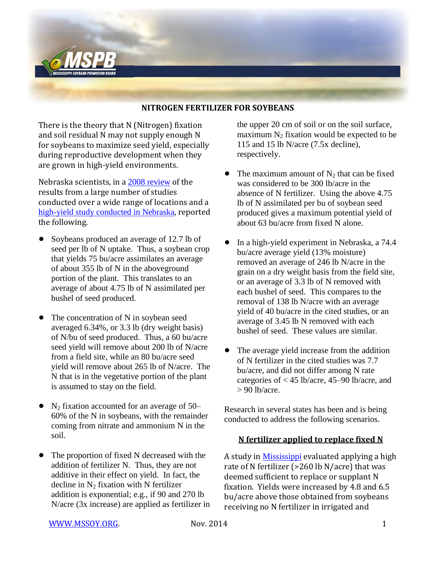

### **NITROGEN FERTILIZER FOR SOYBEANS**

There is the theory that N (Nitrogen) fixation and soil residual N may not supply enough N for soybeans to maximize seed yield, especially during reproductive development when they are grown in high-yield environments.

Nebraska scientists, in a [2008 review](http://digitalcommons.unl.edu/cgi/viewcontent.cgi?article=1133&context=agronomyfacpub) of the results from a large number of studies conducted over a wide range of locations and a [high-yield study conducted in Nebraska](http://soysim.unl.edu/publications/setiyono_et_al_2007_soybean_phenology_simulation.pdf), reported the following.

- Soybeans produced an average of 12.7 lb of seed per lb of N uptake. Thus, a soybean crop that yields 75 bu/acre assimilates an average of about 355 lb of N in the aboveground portion of the plant. This translates to an average of about 4.75 lb of N assimilated per bushel of seed produced.
- ! The concentration of N in soybean seed averaged 6.34%, or 3.3 lb (dry weight basis) of N/bu of seed produced. Thus, a 60 bu/acre seed yield will remove about 200 lb of N/acre from a field site, while an 80 bu/acre seed yield will remove about 265 lb of N/acre. The N that is in the vegetative portion of the plant is assumed to stay on the field.
- $N_2$  fixation accounted for an average of 50– 60% of the N in soybeans, with the remainder coming from nitrate and ammonium N in the soil.
- ! The proportion of fixed N decreased with the addition of fertilizer N. Thus, they are not additive in their effect on yield. In fact, the decline in  $N_2$  fixation with N fertilizer addition is exponential; e.g., if 90 and 270 lb N/acre (3x increase) are applied as fertilizer in

the upper 20 cm of soil or on the soil surface, maximum  $N_2$  fixation would be expected to be 115 and 15 lb N/acre (7.5x decline), respectively.

- The maximum amount of  $N_2$  that can be fixed was considered to be 300 lb/acre in the absence of N fertilizer. Using the above 4.75 lb of N assimilated per bu of soybean seed produced gives a maximum potential yield of about 63 bu/acre from fixed N alone.
- ! In a high-yield experiment in Nebraska, a 74.4 bu/acre average yield (13% moisture) removed an average of 246 lb N/acre in the grain on a dry weight basis from the field site, or an average of 3.3 lb of N removed with each bushel of seed. This compares to the removal of 138 lb N/acre with an average yield of 40 bu/acre in the cited studies, or an average of 3.45 lb N removed with each bushel of seed. These values are similar.
- ! The average yield increase from the addition of N fertilizer in the cited studies was 7.7 bu/acre, and did not differ among N rate categories of < 45 lb/acre, 45–90 lb/acre, and  $> 90$  lb/acre

Research in several states has been and is being conducted to address the following scenarios.

#### **N fertilizer applied to replace fixed N**

A study in [Mississippi](https://www.crops.org/publications/cs/pdfs/46/1/52) evaluated applying a high rate of N fertilizer (>260 lb N/acre) that was deemed sufficient to replace or supplant N fixation. Yields were increased by 4.8 and 6.5 bu/acre above those obtained from soybeans receiving no N fertilizer in irrigated and

[WWW.MSSOY.ORG.](http://www.mssoy.org/) Nov. 2014 1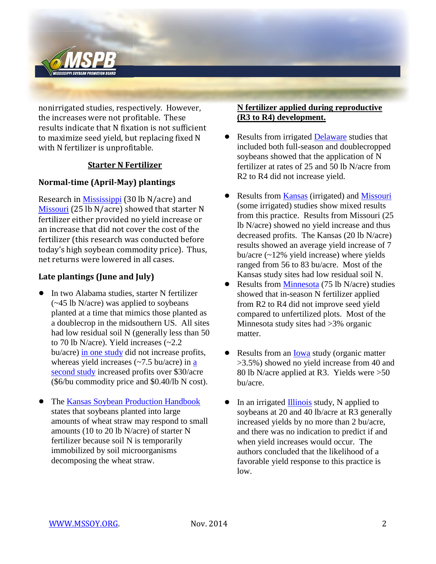

nonirrigated studies, respectively. However, the increases were not profitable. These results indicate that N fixation is not sufficient to maximize seed yield, but replacing fixed N with N fertilizer is unprofitable.

## **Starter N Fertilizer**

# **Normal-time (April-May) plantings**

Research in [Mississippi](https://www.agronomy.org/publications/aj/pdfs/95/2/446) (30 lb N/acre) and [Missouri](http://mssoy.org/wp-content/uploads/2014/03/N-Missouri-summary.pdf) (25 lb N/acre) showed that starter N fertilizer either provided no yield increase or an increase that did not cover the cost of the fertilizer (this research was conducted before today's high soybean commodity price). Thus, net returns were lowered in all cases.

# **Late plantings (June and July)**

- ! In two Alabama studies, starter N fertilizer (~45 lb N/acre) was applied to soybeans planted at a time that mimics those planted as a doublecrop in the midsouthern US. All sites had low residual soil N (generally less than 50 to 70 lb N/acre). Yield increases (~2.2 bu/acre) [in one study](https://www.agronomy.org/publications/aj/pdfs/90/5/AJ0900050658) did not increase profits, whereas yield increases  $(\sim 7.5 \text{ bu/acre})$  in a [second study](https://www.crops.org/publications/cs/pdfs/45/3/0854?search-result=1) increased profits over \$30/acre (\$6/bu commodity price and \$0.40/lb N cost).
- The [Kansas Soybean Production Handbook](http://www.ksre.ksu.edu/mil/Resources/Crop%20Production%20Handbooks/Soybeans.pdf) states that soybeans planted into large amounts of wheat straw may respond to small amounts (10 to 20 lb N/acre) of starter N fertilizer because soil N is temporarily immobilized by soil microorganisms decomposing the wheat straw.

## **N fertilizer applied during reproductive (R3 to R4) development.**

- Results from irrigated [Delaware](http://extension.udel.edu/kentagextension/2012/08/28/nitrogen-fertilization-and-irrigated-soybean-production/#more-5) studies that included both full-season and doublecropped soybeans showed that the application of N fertilizer at rates of 25 and 50 lb N/acre from R2 to R4 did not increase yield.
- Results from [Kansas](http://www.fluidfertilizer.com/PastArt/pdf/25P16-19.pdf) (irrigated) and [Missouri](http://mssoy.org/wp-content/uploads/2014/03/N-Missouri-summary.pdf) (some irrigated) studies show mixed results from this practice. Results from Missouri (25 lb N/acre) showed no yield increase and thus decreased profits. The Kansas (20 lb N/acre) results showed an average yield increase of 7 bu/acre (~12% yield increase) where yields ranged from 56 to 83 bu/acre. Most of the Kansas study sites had low residual soil N.
- Results from [Minnesota](https://www.agronomy.org/publications/aj/pdfs/93/5/983?search-result=1) (75 lb N/acre) studies showed that in-season N fertilizer applied from R2 to R4 did not improve seed yield compared to unfertilized plots. Most of the Minnesota study sites had >3% organic matter.
- Results from an [Iowa](http://www.agronext.iastate.edu/soilfertility/info/inseasonnfert01.pdf) study (organic matter >3.5%) showed no yield increase from 40 and 80 lb N/acre applied at R3. Yields were >50 bu/acre.
- $\bullet$  In an irrigated **Illinois** study, N applied to soybeans at 20 and 40 lb/acre at R3 generally increased yields by no more than 2 bu/acre, and there was no indication to predict if and when yield increases would occur. The authors concluded that the likelihood of a favorable yield response to this practice is low.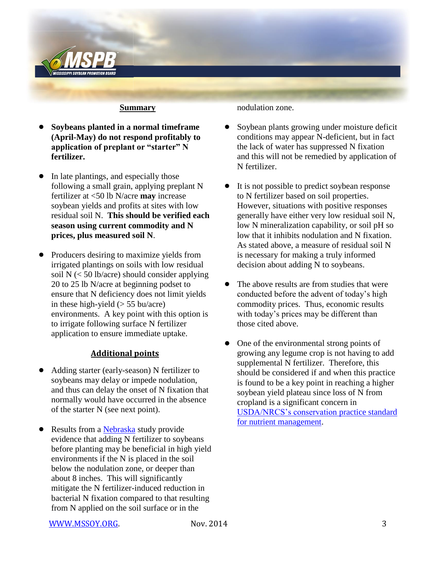

#### **Summary**

- ! **Soybeans planted in a normal timeframe (April-May) do not respond profitably to application of preplant or "starter" N fertilizer.**
- In late plantings, and especially those following a small grain, applying preplant N fertilizer at <50 lb N/acre **may** increase soybean yields and profits at sites with low residual soil N. **This should be verified each season using current commodity and N prices, plus measured soil N**.
- Producers desiring to maximize yields from irrigated plantings on soils with low residual soil  $N \leq 50$  lb/acre) should consider applying 20 to 25 lb N/acre at beginning podset to ensure that N deficiency does not limit yields in these high-yield  $(> 55$  bu/acre) environments. A key point with this option is to irrigate following surface N fertilizer application to ensure immediate uptake.

#### **Additional points**

- Adding starter (early-season) N fertilizer to soybeans may delay or impede nodulation, and thus can delay the onset of N fixation that normally would have occurred in the absence of the starter N (see next point).
- Results from a **Nebraska** study provide evidence that adding N fertilizer to soybeans before planting may be beneficial in high yield environments if the N is placed in the soil below the nodulation zone, or deeper than about 8 inches. This will significantly mitigate the N fertilizer-induced reduction in bacterial N fixation compared to that resulting from N applied on the soil surface or in the

nodulation zone.

- ! Soybean plants growing under moisture deficit conditions may appear N-deficient, but in fact the lack of water has suppressed N fixation and this will not be remedied by application of N fertilizer.
- It is not possible to predict soybean response to N fertilizer based on soil properties. However, situations with positive responses generally have either very low residual soil N, low N mineralization capability, or soil pH so low that it inhibits nodulation and N fixation. As stated above, a measure of residual soil N is necessary for making a truly informed decision about adding N to soybeans.
- The above results are from studies that were conducted before the advent of today's high commodity prices. Thus, economic results with today's prices may be different than those cited above.
- One of the environmental strong points of growing any legume crop is not having to add supplemental N fertilizer. Therefore, this should be considered if and when this practice is found to be a key point in reaching a higher soybean yield plateau since loss of N from cropland is a significant concern in [USDA/NRCS's conservation](http://www.nrcs.usda.gov/Internet/FSE_DOCUMENTS/stelprdb1046896.pdf) practice standard [for nutrient management.](http://www.nrcs.usda.gov/Internet/FSE_DOCUMENTS/stelprdb1046896.pdf)

[WWW.MSSOY.ORG.](http://www.mssoy.org/) Nov. 2014 3